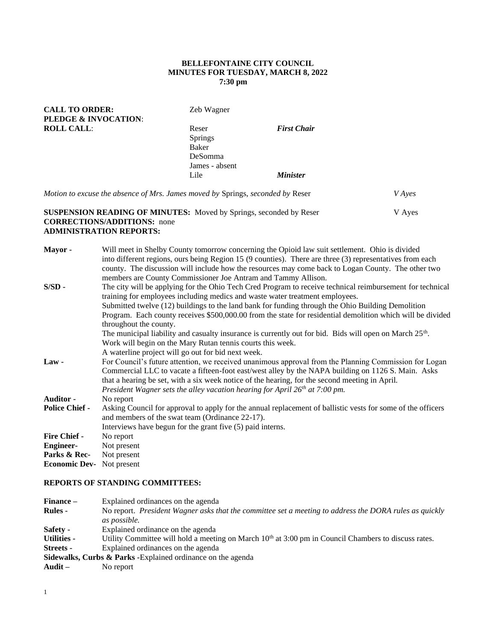### **BELLEFONTAINE CITY COUNCIL MINUTES FOR TUESDAY, MARCH 8, 2022 7:30 pm**

| <b>CALL TO ORDER:</b>                                                          | Zeb Wagner     |                        |               |
|--------------------------------------------------------------------------------|----------------|------------------------|---------------|
| <b>PLEDGE &amp; INVOCATION:</b>                                                |                |                        |               |
| <b>ROLL CALL:</b>                                                              | Reser          | <b>First Chair</b>     |               |
|                                                                                | Springs        |                        |               |
|                                                                                | Baker          |                        |               |
|                                                                                | <b>DeSomma</b> |                        |               |
|                                                                                | James - absent |                        |               |
|                                                                                | Lile           | <i><b>Minister</b></i> |               |
| Motion to excuse the absence of Mrs. James moved by Springs, seconded by Reser |                |                        | <i>V</i> Ayes |

### **SUSPENSION READING OF MINUTES:** Moved by Springs, seconded by Reser V Ayes **CORRECTIONS/ADDITIONS:** none **ADMINISTRATION REPORTS:**

| Will meet in Shelby County tomorrow concerning the Opioid law suit settlement. Ohio is divided                                                                                                                 |
|----------------------------------------------------------------------------------------------------------------------------------------------------------------------------------------------------------------|
| into different regions, ours being Region 15 (9 counties). There are three (3) representatives from each<br>county. The discussion will include how the resources may come back to Logan County. The other two |
| members are County Commissioner Joe Antram and Tammy Allison.                                                                                                                                                  |
| The city will be applying for the Ohio Tech Cred Program to receive technical reimbursement for technical                                                                                                      |
| training for employees including medics and waste water treatment employees.                                                                                                                                   |
| Submitted twelve (12) buildings to the land bank for funding through the Ohio Building Demolition                                                                                                              |
| Program. Each county receives \$500,000.00 from the state for residential demolition which will be divided                                                                                                     |
| throughout the county.                                                                                                                                                                                         |
| The municipal liability and casualty insurance is currently out for bid. Bids will open on March $25th$ .                                                                                                      |
| Work will begin on the Mary Rutan tennis courts this week.                                                                                                                                                     |
| A waterline project will go out for bid next week.                                                                                                                                                             |
| For Council's future attention, we received unanimous approval from the Planning Commission for Logan                                                                                                          |
| Commercial LLC to vacate a fifteen-foot east/west alley by the NAPA building on 1126 S. Main. Asks                                                                                                             |
| that a hearing be set, with a six week notice of the hearing, for the second meeting in April.                                                                                                                 |
| President Wagner sets the alley vacation hearing for April $26th$ at 7:00 pm.                                                                                                                                  |
| No report                                                                                                                                                                                                      |
| Asking Council for approval to apply for the annual replacement of ballistic vests for some of the officers<br>and members of the swat team (Ordinance 22-17).                                                 |
| Interviews have begun for the grant five (5) paid interns.                                                                                                                                                     |
| No report                                                                                                                                                                                                      |
| Not present                                                                                                                                                                                                    |
| Not present                                                                                                                                                                                                    |
| <b>Economic Dev-</b> Not present                                                                                                                                                                               |
|                                                                                                                                                                                                                |

# **REPORTS OF STANDING COMMITTEES:**

| Finance –                                                    | Explained ordinances on the agenda                                                                               |  |
|--------------------------------------------------------------|------------------------------------------------------------------------------------------------------------------|--|
| <b>Rules -</b>                                               | No report. President Wagner asks that the committee set a meeting to address the DORA rules as quickly           |  |
|                                                              | as possible.                                                                                                     |  |
| Safety -                                                     | Explained ordinance on the agenda                                                                                |  |
| <b>Utilities -</b>                                           | Utility Committee will hold a meeting on March 10 <sup>th</sup> at 3:00 pm in Council Chambers to discuss rates. |  |
| Streets -                                                    | Explained ordinances on the agenda                                                                               |  |
| Sidewalks, Curbs & Parks - Explained ordinance on the agenda |                                                                                                                  |  |
| Audit –                                                      | No report                                                                                                        |  |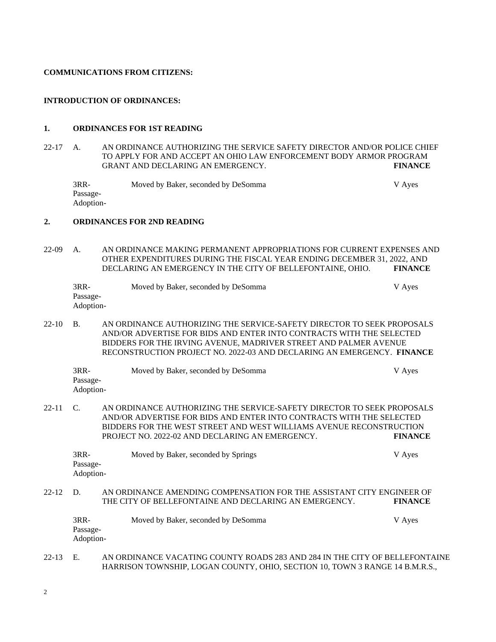#### **COMMUNICATIONS FROM CITIZENS:**

#### **INTRODUCTION OF ORDINANCES:**

#### **1. ORDINANCES FOR 1ST READING**

22-17 A. AN ORDINANCE AUTHORIZING THE SERVICE SAFETY DIRECTOR AND/OR POLICE CHIEF TO APPLY FOR AND ACCEPT AN OHIO LAW ENFORCEMENT BODY ARMOR PROGRAM GRANT AND DECLARING AN EMERGENCY. **FINANCE**

3RR- Moved by Baker, seconded by DeSomma V Ayes Passage-Adoption-

#### **2. ORDINANCES FOR 2ND READING**

22-09 A. AN ORDINANCE MAKING PERMANENT APPROPRIATIONS FOR CURRENT EXPENSES AND OTHER EXPENDITURES DURING THE FISCAL YEAR ENDING DECEMBER 31, 2022, AND DECLARING AN EMERGENCY IN THE CITY OF BELLEFONTAINE, OHIO. **FINANCE**

| 3RR-      | Moved by Baker, seconded by DeSomma | V Ayes |
|-----------|-------------------------------------|--------|
| Passage-  |                                     |        |
| Adoption- |                                     |        |

22-10 B. AN ORDINANCE AUTHORIZING THE SERVICE-SAFETY DIRECTOR TO SEEK PROPOSALS AND/OR ADVERTISE FOR BIDS AND ENTER INTO CONTRACTS WITH THE SELECTED BIDDERS FOR THE IRVING AVENUE, MADRIVER STREET AND PALMER AVENUE RECONSTRUCTION PROJECT NO. 2022-03 AND DECLARING AN EMERGENCY. **FINANCE**

| 3RR-      | Moved by Baker, seconded by DeSomma | V Ayes |
|-----------|-------------------------------------|--------|
| Passage-  |                                     |        |
| Adoption- |                                     |        |

22-11 C. AN ORDINANCE AUTHORIZING THE SERVICE-SAFETY DIRECTOR TO SEEK PROPOSALS AND/OR ADVERTISE FOR BIDS AND ENTER INTO CONTRACTS WITH THE SELECTED BIDDERS FOR THE WEST STREET AND WEST WILLIAMS AVENUE RECONSTRUCTION PROJECT NO. 2022-02 AND DECLARING AN EMERGENCY. **FINANCE**

| $3RR-$                | Moved by Baker, seconded by Springs | V Ayes |
|-----------------------|-------------------------------------|--------|
| Passage-<br>Adoption- |                                     |        |
|                       |                                     |        |

### 22-12 D. AN ORDINANCE AMENDING COMPENSATION FOR THE ASSISTANT CITY ENGINEER OF THE CITY OF BELLEFONTAINE AND DECLARING AN EMERGENCY. **FINANCE**

| $3RR-$    | Moved by Baker, seconded by DeSomma | V Ayes |
|-----------|-------------------------------------|--------|
| Passage-  |                                     |        |
| Adoption- |                                     |        |

## 22-13 E. AN ORDINANCE VACATING COUNTY ROADS 283 AND 284 IN THE CITY OF BELLEFONTAINE HARRISON TOWNSHIP, LOGAN COUNTY, OHIO, SECTION 10, TOWN 3 RANGE 14 B.M.R.S.,